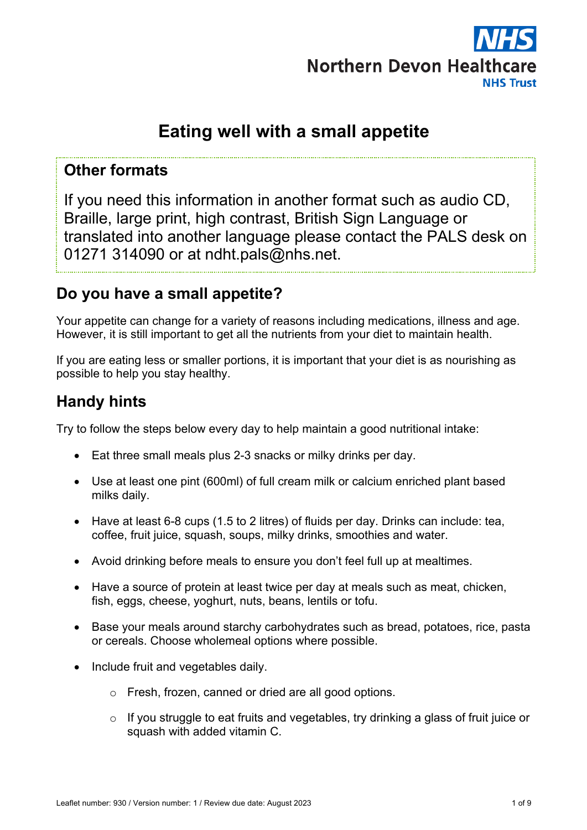

# **Eating well with a small appetite**

## **Other formats**

If you need this information in another format such as audio CD, Braille, large print, high contrast, British Sign Language or translated into another language please contact the PALS desk on 01271 314090 or at ndht.pals@nhs.net.

## **Do you have a small appetite?**

Your appetite can change for a variety of reasons including medications, illness and age. However, it is still important to get all the nutrients from your diet to maintain health.

If you are eating less or smaller portions, it is important that your diet is as nourishing as possible to help you stay healthy.

# **Handy hints**

Try to follow the steps below every day to help maintain a good nutritional intake:

- Eat three small meals plus 2-3 snacks or milky drinks per day.
- Use at least one pint (600ml) of full cream milk or calcium enriched plant based milks daily.
- Have at least 6-8 cups (1.5 to 2 litres) of fluids per day. Drinks can include: tea, coffee, fruit juice, squash, soups, milky drinks, smoothies and water.
- Avoid drinking before meals to ensure you don't feel full up at mealtimes.
- Have a source of protein at least twice per day at meals such as meat, chicken, fish, eggs, cheese, yoghurt, nuts, beans, lentils or tofu.
- Base your meals around starchy carbohydrates such as bread, potatoes, rice, pasta or cereals. Choose wholemeal options where possible.
- Include fruit and vegetables daily.
	- o Fresh, frozen, canned or dried are all good options.
	- o If you struggle to eat fruits and vegetables, try drinking a glass of fruit juice or squash with added vitamin C.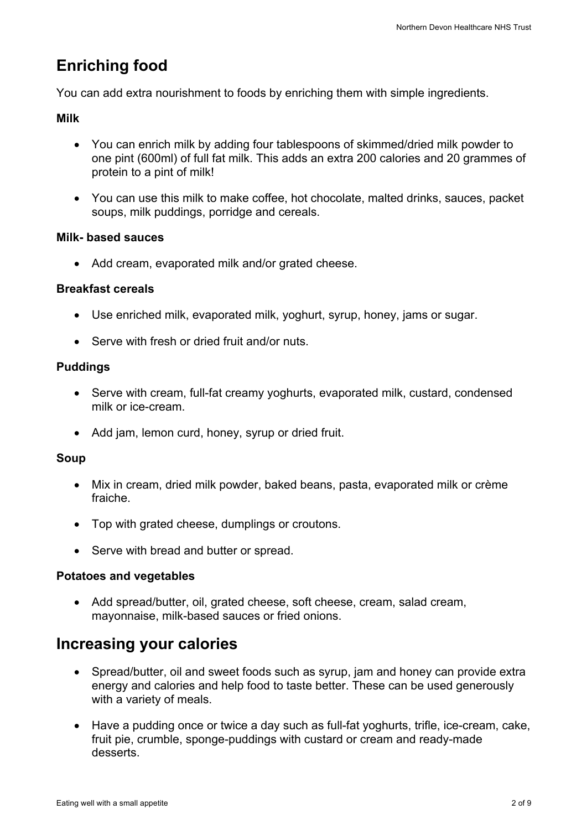# **Enriching food**

You can add extra nourishment to foods by enriching them with simple ingredients.

## **Milk**

- You can enrich milk by adding four tablespoons of skimmed/dried milk powder to one pint (600ml) of full fat milk. This adds an extra 200 calories and 20 grammes of protein to a pint of milk!
- You can use this milk to make coffee, hot chocolate, malted drinks, sauces, packet soups, milk puddings, porridge and cereals.

### **Milk- based sauces**

• Add cream, evaporated milk and/or grated cheese.

## **Breakfast cereals**

- Use enriched milk, evaporated milk, yoghurt, syrup, honey, jams or sugar.
- Serve with fresh or dried fruit and/or nuts.

## **Puddings**

- Serve with cream, full-fat creamy yoghurts, evaporated milk, custard, condensed milk or ice-cream.
- Add jam, lemon curd, honey, syrup or dried fruit.

### **Soup**

- Mix in cream, dried milk powder, baked beans, pasta, evaporated milk or crème fraiche.
- Top with grated cheese, dumplings or croutons.
- Serve with bread and butter or spread.

### **Potatoes and vegetables**

• Add spread/butter, oil, grated cheese, soft cheese, cream, salad cream, mayonnaise, milk-based sauces or fried onions.

# **Increasing your calories**

- Spread/butter, oil and sweet foods such as syrup, jam and honey can provide extra energy and calories and help food to taste better. These can be used generously with a variety of meals.
- Have a pudding once or twice a day such as full-fat yoghurts, trifle, ice-cream, cake, fruit pie, crumble, sponge-puddings with custard or cream and ready-made desserts.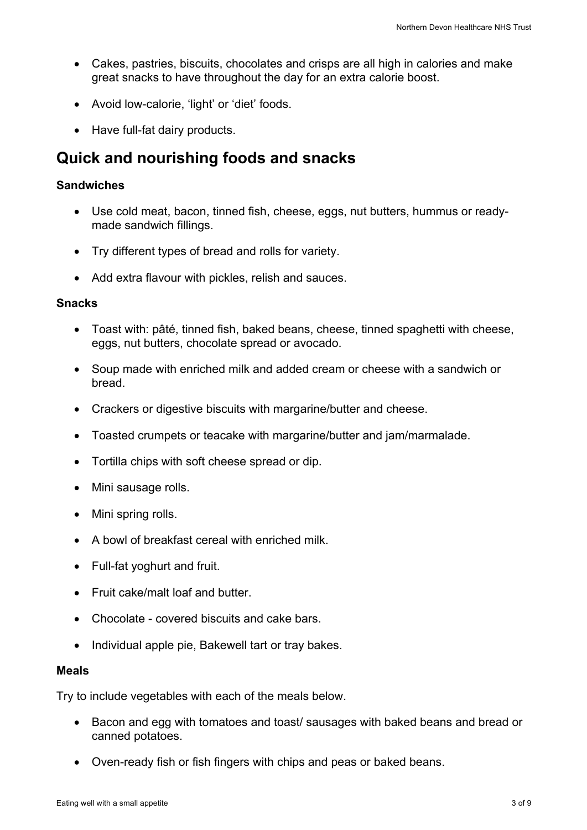- Cakes, pastries, biscuits, chocolates and crisps are all high in calories and make great snacks to have throughout the day for an extra calorie boost.
- Avoid low-calorie, 'light' or 'diet' foods.
- Have full-fat dairy products.

## **Quick and nourishing foods and snacks**

#### **Sandwiches**

- Use cold meat, bacon, tinned fish, cheese, eggs, nut butters, hummus or readymade sandwich fillings.
- Try different types of bread and rolls for variety.
- Add extra flavour with pickles, relish and sauces.

#### **Snacks**

- Toast with: pâté, tinned fish, baked beans, cheese, tinned spaghetti with cheese, eggs, nut butters, chocolate spread or avocado.
- Soup made with enriched milk and added cream or cheese with a sandwich or bread.
- Crackers or digestive biscuits with margarine/butter and cheese.
- Toasted crumpets or teacake with margarine/butter and jam/marmalade.
- Tortilla chips with soft cheese spread or dip.
- Mini sausage rolls.
- Mini spring rolls.
- A bowl of breakfast cereal with enriched milk.
- Full-fat yoghurt and fruit.
- Fruit cake/malt loaf and butter
- Chocolate covered biscuits and cake bars.
- Individual apple pie, Bakewell tart or tray bakes.

#### **Meals**

Try to include vegetables with each of the meals below.

- Bacon and egg with tomatoes and toast/ sausages with baked beans and bread or canned potatoes.
- Oven-ready fish or fish fingers with chips and peas or baked beans.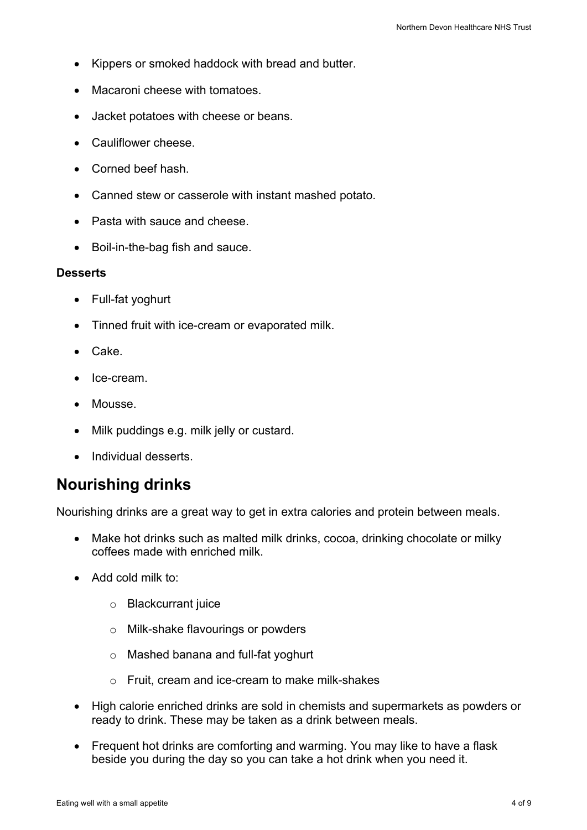- Kippers or smoked haddock with bread and butter.
- Macaroni cheese with tomatoes.
- Jacket potatoes with cheese or beans.
- Cauliflower cheese.
- Corned beef hash.
- Canned stew or casserole with instant mashed potato.
- Pasta with sauce and cheese.
- Boil-in-the-bag fish and sauce.

#### **Desserts**

- Full-fat yoghurt
- Tinned fruit with ice-cream or evaporated milk.
- Cake.
- Ice-cream.
- Mousse.
- Milk puddings e.g. milk jelly or custard.
- Individual desserts.

# **Nourishing drinks**

Nourishing drinks are a great way to get in extra calories and protein between meals.

- Make hot drinks such as malted milk drinks, cocoa, drinking chocolate or milky coffees made with enriched milk.
- Add cold milk to:
	- o Blackcurrant juice
	- o Milk-shake flavourings or powders
	- o Mashed banana and full-fat yoghurt
	- o Fruit, cream and ice-cream to make milk-shakes
- High calorie enriched drinks are sold in chemists and supermarkets as powders or ready to drink. These may be taken as a drink between meals.
- Frequent hot drinks are comforting and warming. You may like to have a flask beside you during the day so you can take a hot drink when you need it.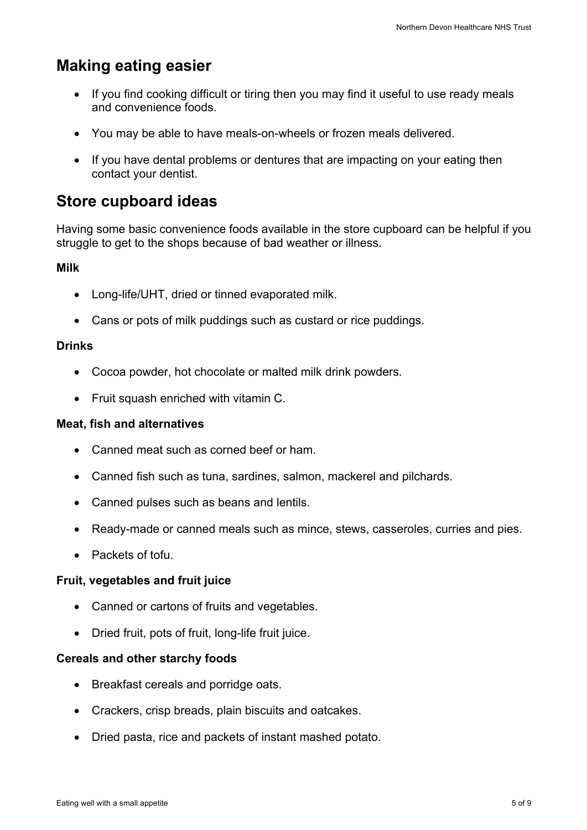# **Making eating easier**

- If you find cooking difficult or tiring then you may find it useful to use ready meals and convenience foods.
- You may be able to have meals-on-wheels or frozen meals delivered.
- If you have dental problems or dentures that are impacting on your eating then contact your dentist.

## **Store cupboard ideas**

Having some basic convenience foods available in the store cupboard can be helpful if you struggle to get to the shops because of bad weather or illness.

### **Milk**

- Long-life/UHT, dried or tinned evaporated milk.
- Cans or pots of milk puddings such as custard or rice puddings.

#### **Drinks**

- Cocoa powder, hot chocolate or malted milk drink powders.
- Fruit squash enriched with vitamin C.

#### **Meat, fish and alternatives**

- Canned meat such as corned beef or ham.
- Canned fish such as tuna, sardines, salmon, mackerel and pilchards.
- Canned pulses such as beans and lentils.
- Ready-made or canned meals such as mince, stews, casseroles, curries and pies.
- Packets of tofu.

#### **Fruit, vegetables and fruit juice**

- Canned or cartons of fruits and vegetables.
- Dried fruit, pots of fruit, long-life fruit juice.

#### **Cereals and other starchy foods**

- Breakfast cereals and porridge oats.
- Crackers, crisp breads, plain biscuits and oatcakes.
- Dried pasta, rice and packets of instant mashed potato.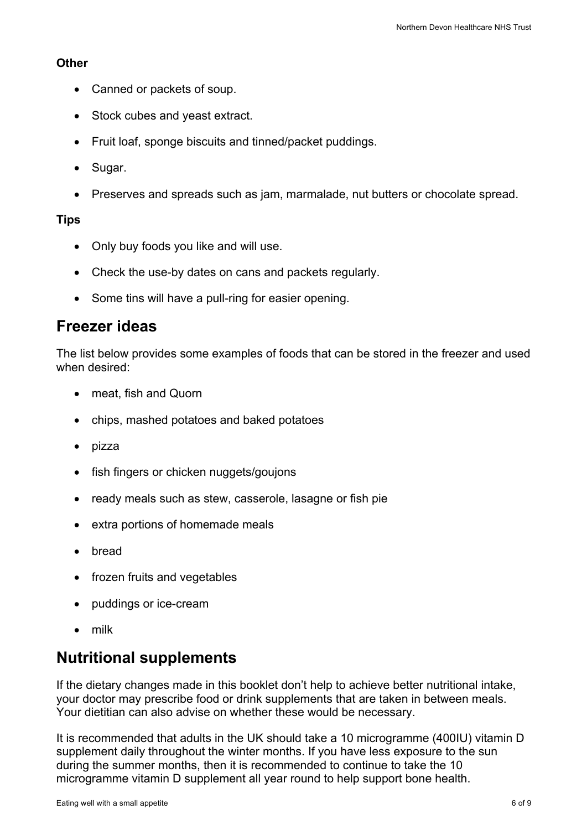#### **Other**

- Canned or packets of soup.
- Stock cubes and yeast extract.
- Fruit loaf, sponge biscuits and tinned/packet puddings.
- Sugar.
- Preserves and spreads such as jam, marmalade, nut butters or chocolate spread.

## **Tips**

- Only buy foods you like and will use.
- Check the use-by dates on cans and packets regularly.
- Some tins will have a pull-ring for easier opening.

## **Freezer ideas**

The list below provides some examples of foods that can be stored in the freezer and used when desired:

- meat, fish and Quorn
- chips, mashed potatoes and baked potatoes
- pizza
- fish fingers or chicken nuggets/goujons
- ready meals such as stew, casserole, lasagne or fish pie
- extra portions of homemade meals
- bread
- frozen fruits and vegetables
- puddings or ice-cream
- milk

# **Nutritional supplements**

If the dietary changes made in this booklet don't help to achieve better nutritional intake, your doctor may prescribe food or drink supplements that are taken in between meals. Your dietitian can also advise on whether these would be necessary.

It is recommended that adults in the UK should take a 10 microgramme (400IU) vitamin D supplement daily throughout the winter months. If you have less exposure to the sun during the summer months, then it is recommended to continue to take the 10 microgramme vitamin D supplement all year round to help support bone health.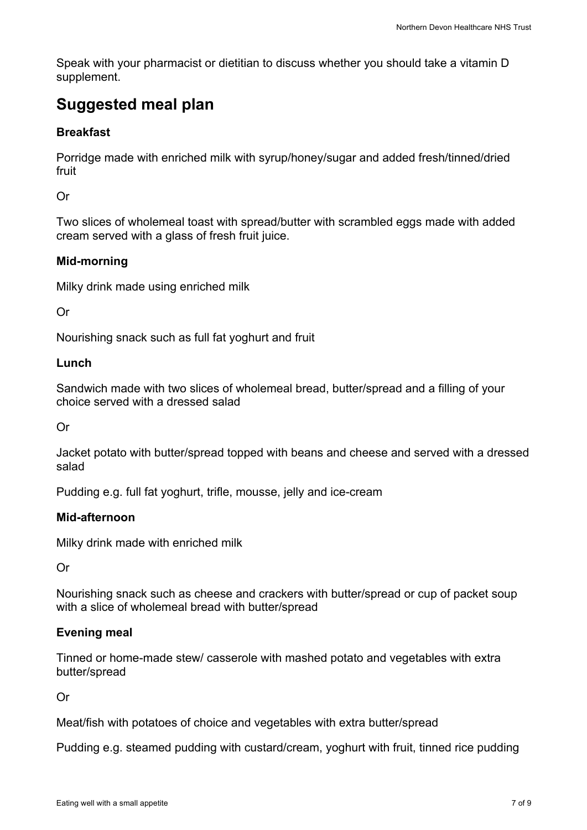Speak with your pharmacist or dietitian to discuss whether you should take a vitamin D supplement.

# **Suggested meal plan**

### **Breakfast**

Porridge made with enriched milk with syrup/honey/sugar and added fresh/tinned/dried fruit

Or

Two slices of wholemeal toast with spread/butter with scrambled eggs made with added cream served with a glass of fresh fruit juice.

## **Mid-morning**

Milky drink made using enriched milk

Or

Nourishing snack such as full fat yoghurt and fruit

#### **Lunch**

Sandwich made with two slices of wholemeal bread, butter/spread and a filling of your choice served with a dressed salad

Or

Jacket potato with butter/spread topped with beans and cheese and served with a dressed salad

Pudding e.g. full fat yoghurt, trifle, mousse, jelly and ice-cream

### **Mid-afternoon**

Milky drink made with enriched milk

Or

Nourishing snack such as cheese and crackers with butter/spread or cup of packet soup with a slice of wholemeal bread with butter/spread

### **Evening meal**

Tinned or home-made stew/ casserole with mashed potato and vegetables with extra butter/spread

Or

Meat/fish with potatoes of choice and vegetables with extra butter/spread

Pudding e.g. steamed pudding with custard/cream, yoghurt with fruit, tinned rice pudding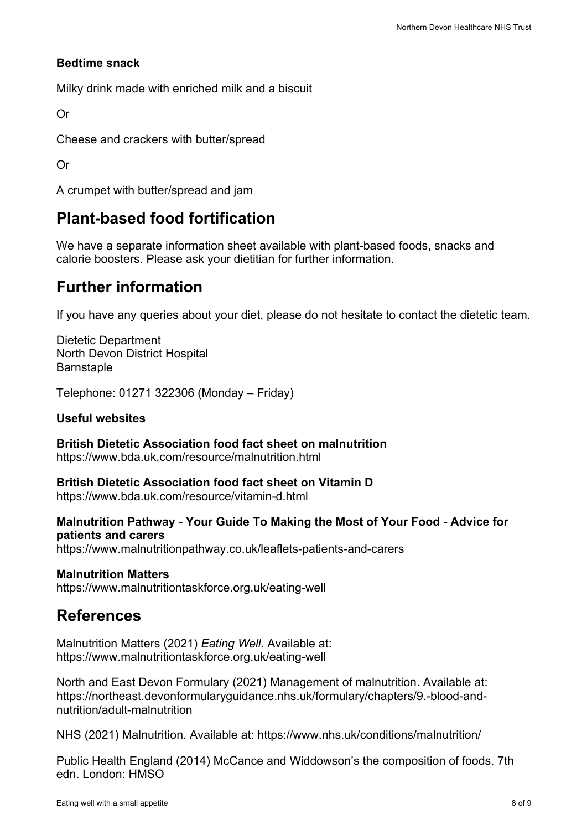### **Bedtime snack**

Milky drink made with enriched milk and a biscuit

Or

Cheese and crackers with butter/spread

Or

A crumpet with butter/spread and jam

## **Plant-based food fortification**

We have a separate information sheet available with plant-based foods, snacks and calorie boosters. Please ask your dietitian for further information.

## **Further information**

If you have any queries about your diet, please do not hesitate to contact the dietetic team.

Dietetic Department North Devon District Hospital **Barnstaple** 

Telephone: 01271 322306 (Monday – Friday)

#### **Useful websites**

**British Dietetic Association food fact sheet on malnutrition** https://www.bda.uk.com/resource/malnutrition.html

**British Dietetic Association food fact sheet on Vitamin D** https://www.bda.uk.com/resource/vitamin-d.html

**Malnutrition Pathway - Your Guide To Making the Most of Your Food - Advice for patients and carers** https://www.malnutritionpathway.co.uk/leaflets-patients-and-carers

#### **Malnutrition Matters**

https://www.malnutritiontaskforce.org.uk/eating-well

## **References**

Malnutrition Matters (2021) *Eating Well.* Available at: https://www.malnutritiontaskforce.org.uk/eating-well

North and East Devon Formulary (2021) Management of malnutrition. Available at: https://northeast.devonformularyguidance.nhs.uk/formulary/chapters/9.-blood-andnutrition/adult-malnutrition

NHS (2021) Malnutrition. Available at: https://www.nhs.uk/conditions/malnutrition/

Public Health England (2014) McCance and Widdowson's the composition of foods. 7th edn. London: HMSO